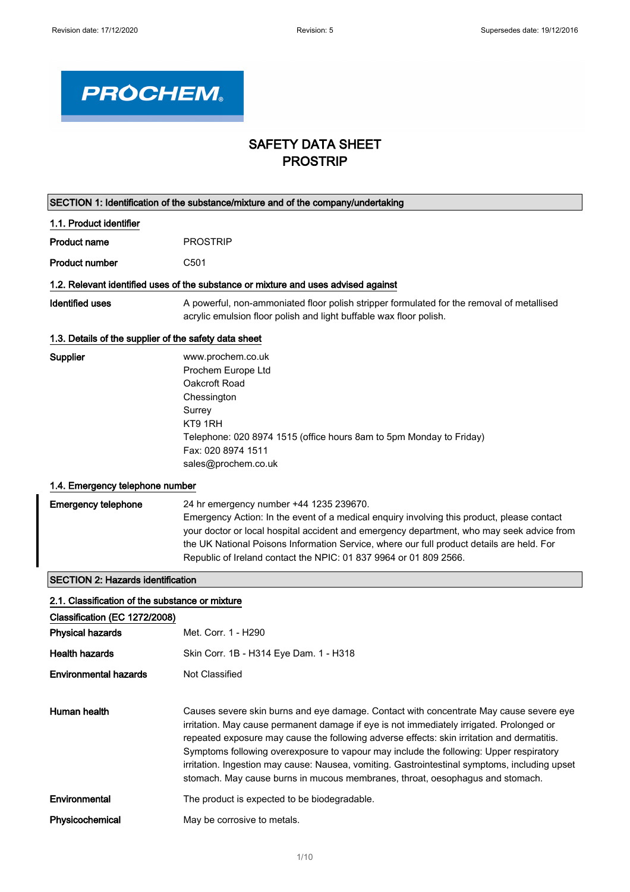

# SAFETY DATA SHEET PROSTRIP

| SECTION 1: Identification of the substance/mixture and of the company/undertaking |                                                                                                                                                                                                                                                                                                                                                                                                                                                                                                                                                              |  |  |
|-----------------------------------------------------------------------------------|--------------------------------------------------------------------------------------------------------------------------------------------------------------------------------------------------------------------------------------------------------------------------------------------------------------------------------------------------------------------------------------------------------------------------------------------------------------------------------------------------------------------------------------------------------------|--|--|
| 1.1. Product identifier                                                           |                                                                                                                                                                                                                                                                                                                                                                                                                                                                                                                                                              |  |  |
| <b>Product name</b>                                                               | <b>PROSTRIP</b>                                                                                                                                                                                                                                                                                                                                                                                                                                                                                                                                              |  |  |
| <b>Product number</b>                                                             | C501                                                                                                                                                                                                                                                                                                                                                                                                                                                                                                                                                         |  |  |
|                                                                                   | 1.2. Relevant identified uses of the substance or mixture and uses advised against                                                                                                                                                                                                                                                                                                                                                                                                                                                                           |  |  |
| <b>Identified uses</b>                                                            | A powerful, non-ammoniated floor polish stripper formulated for the removal of metallised<br>acrylic emulsion floor polish and light buffable wax floor polish.                                                                                                                                                                                                                                                                                                                                                                                              |  |  |
| 1.3. Details of the supplier of the safety data sheet                             |                                                                                                                                                                                                                                                                                                                                                                                                                                                                                                                                                              |  |  |
| Supplier                                                                          | www.prochem.co.uk<br>Prochem Europe Ltd<br>Oakcroft Road<br>Chessington<br>Surrey<br>KT9 1RH<br>Telephone: 020 8974 1515 (office hours 8am to 5pm Monday to Friday)<br>Fax: 020 8974 1511<br>sales@prochem.co.uk                                                                                                                                                                                                                                                                                                                                             |  |  |
| 1.4. Emergency telephone number                                                   |                                                                                                                                                                                                                                                                                                                                                                                                                                                                                                                                                              |  |  |
| <b>Emergency telephone</b>                                                        | 24 hr emergency number +44 1235 239670.<br>Emergency Action: In the event of a medical enquiry involving this product, please contact<br>your doctor or local hospital accident and emergency department, who may seek advice from<br>the UK National Poisons Information Service, where our full product details are held. For<br>Republic of Ireland contact the NPIC: 01 837 9964 or 01 809 2566.                                                                                                                                                         |  |  |
| <b>SECTION 2: Hazards identification</b>                                          |                                                                                                                                                                                                                                                                                                                                                                                                                                                                                                                                                              |  |  |
| 2.1. Classification of the substance or mixture                                   |                                                                                                                                                                                                                                                                                                                                                                                                                                                                                                                                                              |  |  |
| Classification (EC 1272/2008)<br><b>Physical hazards</b>                          | Met. Corr. 1 - H290                                                                                                                                                                                                                                                                                                                                                                                                                                                                                                                                          |  |  |
| <b>Health hazards</b>                                                             | Skin Corr. 1B - H314 Eye Dam. 1 - H318                                                                                                                                                                                                                                                                                                                                                                                                                                                                                                                       |  |  |
| Environmental hazards                                                             | Not Classified                                                                                                                                                                                                                                                                                                                                                                                                                                                                                                                                               |  |  |
| Human health                                                                      | Causes severe skin burns and eye damage. Contact with concentrate May cause severe eye<br>irritation. May cause permanent damage if eye is not immediately irrigated. Prolonged or<br>repeated exposure may cause the following adverse effects: skin irritation and dermatitis.<br>Symptoms following overexposure to vapour may include the following: Upper respiratory<br>irritation. Ingestion may cause: Nausea, vomiting. Gastrointestinal symptoms, including upset<br>stomach. May cause burns in mucous membranes, throat, oesophagus and stomach. |  |  |
| Environmental                                                                     | The product is expected to be biodegradable.                                                                                                                                                                                                                                                                                                                                                                                                                                                                                                                 |  |  |
| Physicochemical                                                                   | May be corrosive to metals.                                                                                                                                                                                                                                                                                                                                                                                                                                                                                                                                  |  |  |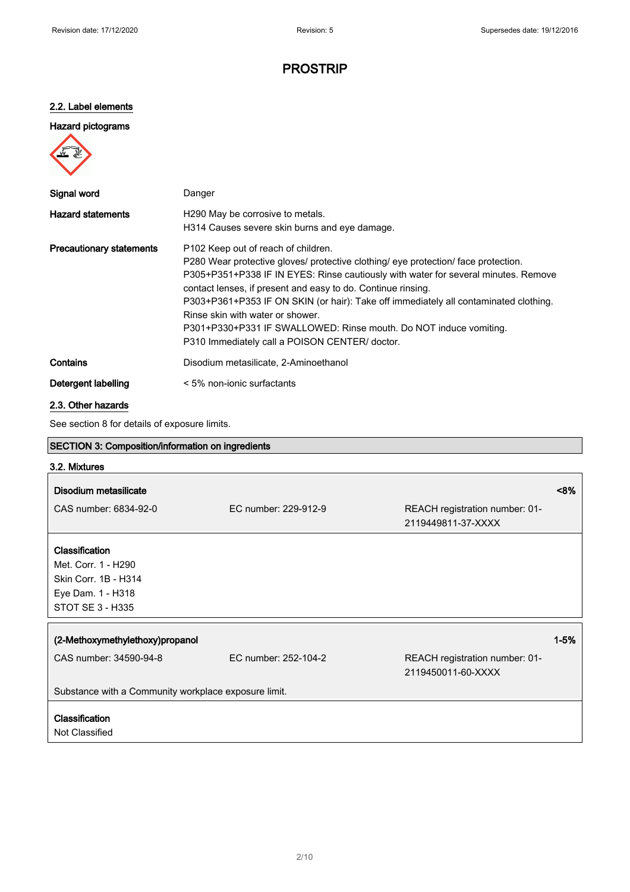### 2.2. Label elements

### Hazard pictograms



| Signal word                     | Danger                                                                                                                                                                                                                                                                                                                                                                                                                                                                                                                                         |
|---------------------------------|------------------------------------------------------------------------------------------------------------------------------------------------------------------------------------------------------------------------------------------------------------------------------------------------------------------------------------------------------------------------------------------------------------------------------------------------------------------------------------------------------------------------------------------------|
| <b>Hazard statements</b>        | H <sub>290</sub> May be corrosive to metals.<br>H314 Causes severe skin burns and eye damage.                                                                                                                                                                                                                                                                                                                                                                                                                                                  |
| <b>Precautionary statements</b> | P <sub>102</sub> Keep out of reach of children.<br>P280 Wear protective gloves/ protective clothing/ eye protection/ face protection.<br>P305+P351+P338 IF IN EYES: Rinse cautiously with water for several minutes. Remove<br>contact lenses, if present and easy to do. Continue rinsing.<br>P303+P361+P353 IF ON SKIN (or hair): Take off immediately all contaminated clothing.<br>Rinse skin with water or shower.<br>P301+P330+P331 IF SWALLOWED: Rinse mouth. Do NOT induce vomiting.<br>P310 Immediately call a POISON CENTER/ doctor. |
| Contains                        | Disodium metasilicate, 2-Aminoethanol                                                                                                                                                                                                                                                                                                                                                                                                                                                                                                          |
| Detergent labelling             | $\leq$ 5% non-ionic surfactants                                                                                                                                                                                                                                                                                                                                                                                                                                                                                                                |

### 2.3. Other hazards

# See section 8 for details of exposure limits. SECTION 3: Composition/information on ingredients 3.2. Mixtures Disodium metasilicate <8% CAS number: 6834-92-0 EC number: 229-912-9 REACH registration number: 01- 2119449811-37-XXXX Classification Met. Corr. 1 - H290 Skin Corr. 1B - H314 Eye Dam. 1 - H318 STOT SE 3 - H335 (2-Methoxymethylethoxy)propanol 1-5% CAS number: 34590-94-8 EC number: 252-104-2 REACH registration number: 01- 2119450011-60-XXXX Substance with a Community workplace exposure limit. Classification Not Classified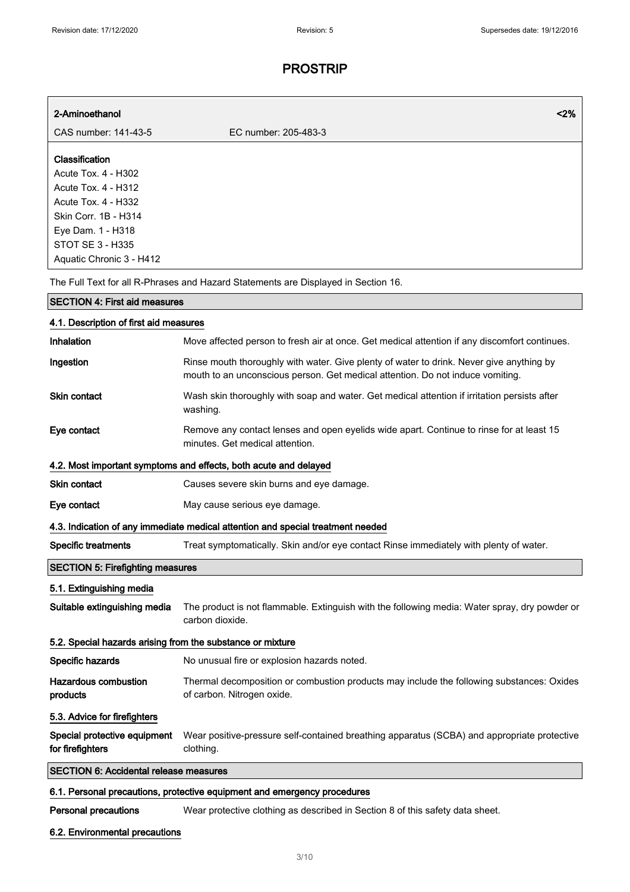| 2-Aminoethanol                                                                                                                                                                          | $2\%$                                                                                                                                                                      |
|-----------------------------------------------------------------------------------------------------------------------------------------------------------------------------------------|----------------------------------------------------------------------------------------------------------------------------------------------------------------------------|
| CAS number: 141-43-5                                                                                                                                                                    | EC number: 205-483-3                                                                                                                                                       |
| Classification<br>Acute Tox. 4 - H302<br>Acute Tox. 4 - H312<br>Acute Tox. 4 - H332<br>Skin Corr. 1B - H314<br>Eye Dam. 1 - H318<br><b>STOT SE 3 - H335</b><br>Aquatic Chronic 3 - H412 |                                                                                                                                                                            |
|                                                                                                                                                                                         | The Full Text for all R-Phrases and Hazard Statements are Displayed in Section 16.                                                                                         |
| <b>SECTION 4: First aid measures</b>                                                                                                                                                    |                                                                                                                                                                            |
| 4.1. Description of first aid measures                                                                                                                                                  |                                                                                                                                                                            |
| <b>Inhalation</b>                                                                                                                                                                       | Move affected person to fresh air at once. Get medical attention if any discomfort continues.                                                                              |
| Ingestion                                                                                                                                                                               | Rinse mouth thoroughly with water. Give plenty of water to drink. Never give anything by<br>mouth to an unconscious person. Get medical attention. Do not induce vomiting. |
| <b>Skin contact</b>                                                                                                                                                                     | Wash skin thoroughly with soap and water. Get medical attention if irritation persists after<br>washing.                                                                   |
| Eye contact                                                                                                                                                                             | Remove any contact lenses and open eyelids wide apart. Continue to rinse for at least 15<br>minutes. Get medical attention.                                                |
|                                                                                                                                                                                         | 4.2. Most important symptoms and effects, both acute and delayed                                                                                                           |
| Skin contact                                                                                                                                                                            | Causes severe skin burns and eye damage.                                                                                                                                   |
| Eye contact                                                                                                                                                                             | May cause serious eye damage.                                                                                                                                              |
|                                                                                                                                                                                         | 4.3. Indication of any immediate medical attention and special treatment needed                                                                                            |
| <b>Specific treatments</b>                                                                                                                                                              | Treat symptomatically. Skin and/or eye contact Rinse immediately with plenty of water.                                                                                     |
| <b>SECTION 5: Firefighting measures</b>                                                                                                                                                 |                                                                                                                                                                            |
| 5.1. Extinguishing media                                                                                                                                                                |                                                                                                                                                                            |
| Suitable extinguishing media                                                                                                                                                            | The product is not flammable. Extinguish with the following media: Water spray, dry powder or<br>carbon dioxide.                                                           |
| 5.2. Special hazards arising from the substance or mixture                                                                                                                              |                                                                                                                                                                            |
| Specific hazards                                                                                                                                                                        | No unusual fire or explosion hazards noted.                                                                                                                                |
| <b>Hazardous combustion</b><br>products                                                                                                                                                 | Thermal decomposition or combustion products may include the following substances: Oxides<br>of carbon. Nitrogen oxide.                                                    |
| 5.3. Advice for firefighters                                                                                                                                                            |                                                                                                                                                                            |
| Special protective equipment<br>for firefighters                                                                                                                                        | Wear positive-pressure self-contained breathing apparatus (SCBA) and appropriate protective<br>clothing.                                                                   |
| <b>SECTION 6: Accidental release measures</b>                                                                                                                                           |                                                                                                                                                                            |
|                                                                                                                                                                                         | 6.1. Personal precautions, protective equipment and emergency procedures                                                                                                   |

6.2. Environmental precautions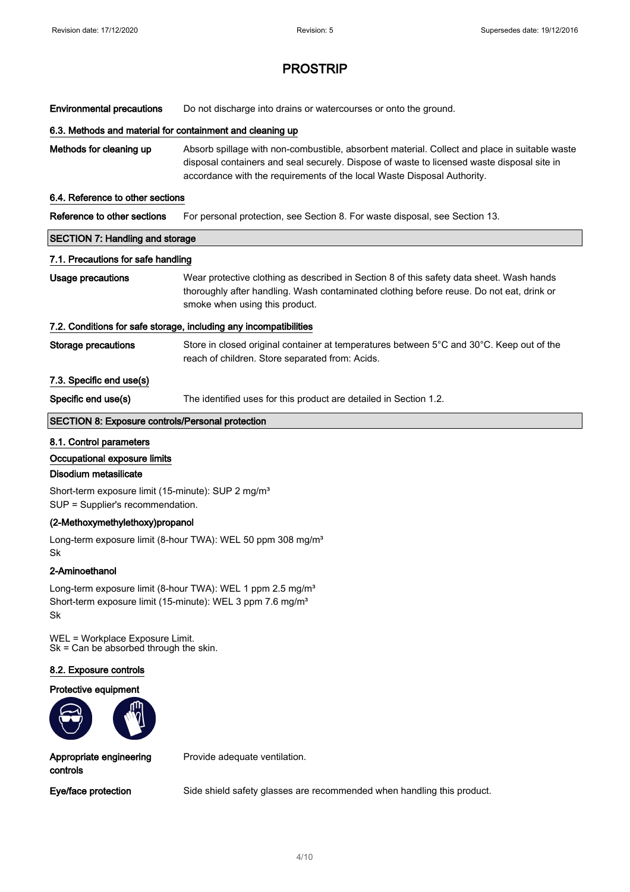Environmental precautions Do not discharge into drains or watercourses or onto the ground.

#### 6.3. Methods and material for containment and cleaning up

Methods for cleaning up Absorb spillage with non-combustible, absorbent material. Collect and place in suitable waste disposal containers and seal securely. Dispose of waste to licensed waste disposal site in accordance with the requirements of the local Waste Disposal Authority.

#### 6.4. Reference to other sections

| Reference to other sections |  | For personal protection, see Section 8. For waste disposal, see Section 13. |
|-----------------------------|--|-----------------------------------------------------------------------------|
|-----------------------------|--|-----------------------------------------------------------------------------|

# SECTION 7: Handling and storage

### 7.1. Precautions for safe handling

Usage precautions Wear protective clothing as described in Section 8 of this safety data sheet. Wash hands thoroughly after handling. Wash contaminated clothing before reuse. Do not eat, drink or smoke when using this product.

### 7.2. Conditions for safe storage, including any incompatibilities

Storage precautions Store in closed original container at temperatures between 5°C and 30°C. Keep out of the reach of children. Store separated from: Acids.

### 7.3. Specific end use(s)

Specific end use(s) The identified uses for this product are detailed in Section 1.2.

### SECTION 8: Exposure controls/Personal protection

#### 8.1. Control parameters

#### Occupational exposure limits

#### Disodium metasilicate

Short-term exposure limit (15-minute): SUP 2 mg/m<sup>3</sup> SUP = Supplier's recommendation.

### (2-Methoxymethylethoxy)propanol

Long-term exposure limit (8-hour TWA): WEL 50 ppm 308 mg/m<sup>3</sup> Sk

### 2-Aminoethanol

Long-term exposure limit (8-hour TWA): WEL 1 ppm 2.5 mg/m<sup>3</sup> Short-term exposure limit (15-minute): WEL 3 ppm 7.6 mg/m<sup>3</sup> Sk

WEL = Workplace Exposure Limit. Sk = Can be absorbed through the skin.

#### 8.2. Exposure controls

#### Protective equipment



Appropriate engineering controls

Provide adequate ventilation.

Eye/face protection Side shield safety glasses are recommended when handling this product.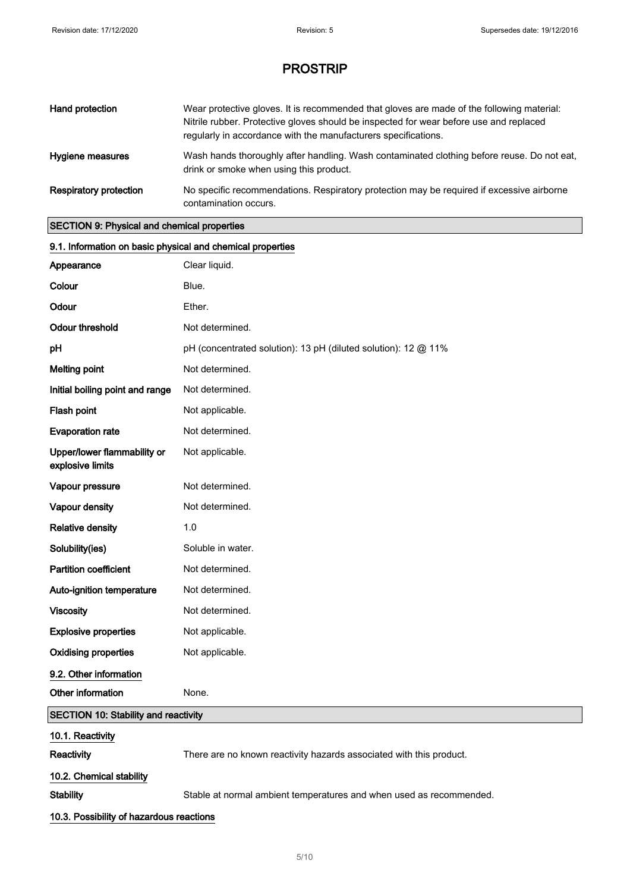| Hand protection               | Wear protective gloves. It is recommended that gloves are made of the following material:<br>Nitrile rubber. Protective gloves should be inspected for wear before use and replaced<br>regularly in accordance with the manufacturers specifications. |
|-------------------------------|-------------------------------------------------------------------------------------------------------------------------------------------------------------------------------------------------------------------------------------------------------|
| Hygiene measures              | Wash hands thoroughly after handling. Wash contaminated clothing before reuse. Do not eat,<br>drink or smoke when using this product.                                                                                                                 |
| <b>Respiratory protection</b> | No specific recommendations. Respiratory protection may be required if excessive airborne<br>contamination occurs.                                                                                                                                    |

### SECTION 9: Physical and chemical properties

| 9.1. Information on basic physical and chemical properties |                                                                     |
|------------------------------------------------------------|---------------------------------------------------------------------|
| Appearance                                                 | Clear liquid.                                                       |
| Colour                                                     | Blue.                                                               |
| Odour                                                      | Ether.                                                              |
| <b>Odour threshold</b>                                     | Not determined.                                                     |
| pH                                                         | pH (concentrated solution): 13 pH (diluted solution): 12 @ 11%      |
| <b>Melting point</b>                                       | Not determined.                                                     |
| Initial boiling point and range                            | Not determined.                                                     |
| Flash point                                                | Not applicable.                                                     |
| <b>Evaporation rate</b>                                    | Not determined.                                                     |
| Upper/lower flammability or<br>explosive limits            | Not applicable.                                                     |
| Vapour pressure                                            | Not determined.                                                     |
| Vapour density                                             | Not determined.                                                     |
| <b>Relative density</b>                                    | 1.0                                                                 |
| Solubility(ies)                                            | Soluble in water.                                                   |
| <b>Partition coefficient</b>                               | Not determined.                                                     |
| Auto-ignition temperature                                  | Not determined.                                                     |
| <b>Viscosity</b>                                           | Not determined.                                                     |
| <b>Explosive properties</b>                                | Not applicable.                                                     |
| <b>Oxidising properties</b>                                | Not applicable.                                                     |
| 9.2. Other information                                     |                                                                     |
| Other information                                          | None.                                                               |
| <b>SECTION 10: Stability and reactivity</b>                |                                                                     |
| 10.1. Reactivity<br>Reactivity                             | There are no known reactivity hazards associated with this product. |
| 10.2. Chemical stability                                   |                                                                     |
| <b>Stability</b>                                           | Stable at normal ambient temperatures and when used as recommended. |
| 10.3. Possibility of hazardous reactions                   |                                                                     |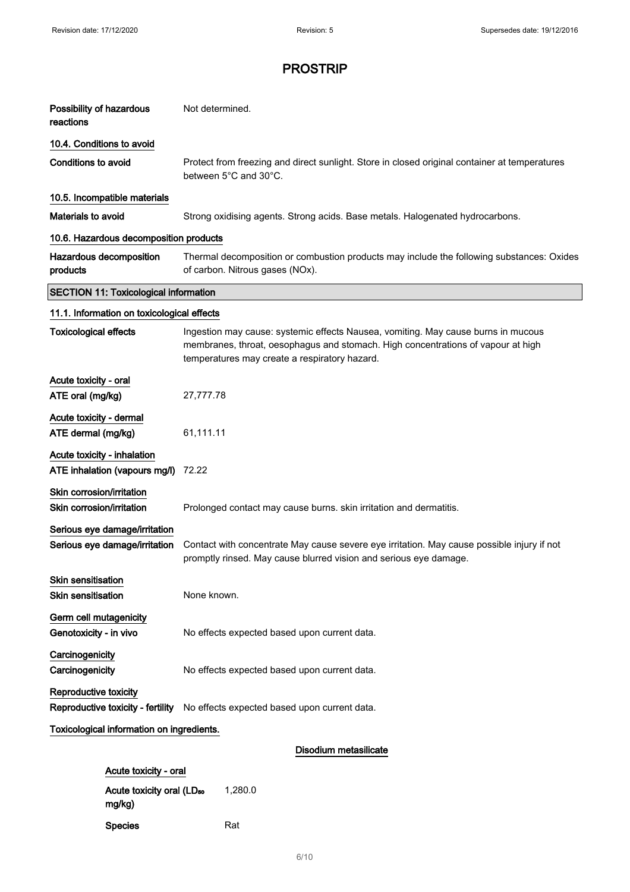| Possibility of hazardous<br>reactions                        | Not determined.                                                                                                                                                                                                        |  |
|--------------------------------------------------------------|------------------------------------------------------------------------------------------------------------------------------------------------------------------------------------------------------------------------|--|
| 10.4. Conditions to avoid                                    |                                                                                                                                                                                                                        |  |
| <b>Conditions to avoid</b>                                   | Protect from freezing and direct sunlight. Store in closed original container at temperatures<br>between 5°C and 30°C.                                                                                                 |  |
| 10.5. Incompatible materials                                 |                                                                                                                                                                                                                        |  |
| Materials to avoid                                           | Strong oxidising agents. Strong acids. Base metals. Halogenated hydrocarbons.                                                                                                                                          |  |
| 10.6. Hazardous decomposition products                       |                                                                                                                                                                                                                        |  |
| Hazardous decomposition<br>products                          | Thermal decomposition or combustion products may include the following substances: Oxides<br>of carbon. Nitrous gases (NOx).                                                                                           |  |
| <b>SECTION 11: Toxicological information</b>                 |                                                                                                                                                                                                                        |  |
| 11.1. Information on toxicological effects                   |                                                                                                                                                                                                                        |  |
| <b>Toxicological effects</b>                                 | Ingestion may cause: systemic effects Nausea, vomiting. May cause burns in mucous<br>membranes, throat, oesophagus and stomach. High concentrations of vapour at high<br>temperatures may create a respiratory hazard. |  |
| Acute toxicity - oral                                        |                                                                                                                                                                                                                        |  |
| ATE oral (mg/kg)                                             | 27,777.78                                                                                                                                                                                                              |  |
| Acute toxicity - dermal                                      |                                                                                                                                                                                                                        |  |
| ATE dermal (mg/kg)                                           | 61,111.11                                                                                                                                                                                                              |  |
| Acute toxicity - inhalation<br>ATE inhalation (vapours mg/l) | 72.22                                                                                                                                                                                                                  |  |
| Skin corrosion/irritation<br>Skin corrosion/irritation       | Prolonged contact may cause burns. skin irritation and dermatitis.                                                                                                                                                     |  |
| Serious eye damage/irritation                                |                                                                                                                                                                                                                        |  |
| Serious eye damage/irritation                                | Contact with concentrate May cause severe eye irritation. May cause possible injury if not<br>promptly rinsed. May cause blurred vision and serious eye damage.                                                        |  |
| <b>Skin sensitisation</b>                                    |                                                                                                                                                                                                                        |  |
| <b>Skin sensitisation</b>                                    | None known.                                                                                                                                                                                                            |  |
| Germ cell mutagenicity<br>Genotoxicity - in vivo             | No effects expected based upon current data.                                                                                                                                                                           |  |
| Carcinogenicity                                              |                                                                                                                                                                                                                        |  |
| Carcinogenicity                                              | No effects expected based upon current data.                                                                                                                                                                           |  |
| <b>Reproductive toxicity</b>                                 |                                                                                                                                                                                                                        |  |
| Reproductive toxicity - fertility                            | No effects expected based upon current data.                                                                                                                                                                           |  |
| Toxicological information on ingredients.                    |                                                                                                                                                                                                                        |  |
| Disodium metasilicate                                        |                                                                                                                                                                                                                        |  |
| Acute toxicity - oral                                        |                                                                                                                                                                                                                        |  |

Acute toxicity oral (LD<sub>50</sub> mg/kg) 1,280.0 Species Rat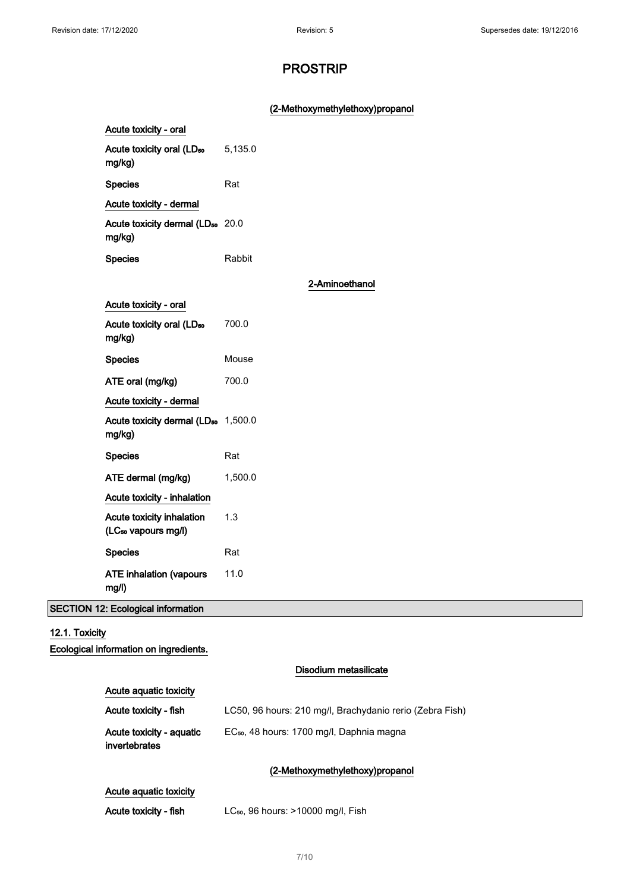### (2-Methoxymethylethoxy)propanol

| Acute toxicity - oral                                        |                |  |
|--------------------------------------------------------------|----------------|--|
| Acute toxicity oral (LD <sub>50</sub><br>mg/kg)              | 5,135.0        |  |
| <b>Species</b>                                               | Rat            |  |
| Acute toxicity - dermal                                      |                |  |
| Acute toxicity dermal (LD <sub>50</sub> 20.0<br>mg/kg)       |                |  |
| <b>Species</b>                                               | Rabbit         |  |
|                                                              | 2-Aminoethanol |  |
| Acute toxicity - oral                                        |                |  |
| Acute toxicity oral (LD <sub>50</sub><br>mg/kg)              | 700.0          |  |
| <b>Species</b>                                               | Mouse          |  |
| ATE oral (mg/kg)                                             | 700.0          |  |
| Acute toxicity - dermal                                      |                |  |
| Acute toxicity dermal (LD <sub>50</sub> 1,500.0<br>mg/kg)    |                |  |
| <b>Species</b>                                               | Rat            |  |
| ATE dermal (mg/kg)                                           | 1,500.0        |  |
| Acute toxicity - inhalation                                  |                |  |
| Acute toxicity inhalation<br>(LC <sub>50</sub> vapours mg/l) | 1.3            |  |
| <b>Species</b>                                               | Rat            |  |
| <b>ATE inhalation (vapours</b><br>mg/l)                      | 11.0           |  |

SECTION 12: Ecological information

### 12.1. Toxicity

Ecological information on ingredients.

|                                           | Disodium metasilicate                                    |
|-------------------------------------------|----------------------------------------------------------|
| Acute aguatic toxicity                    |                                                          |
| Acute toxicity - fish                     | LC50, 96 hours: 210 mg/l, Brachydanio rerio (Zebra Fish) |
| Acute toxicity - aquatic<br>invertebrates | EC <sub>50</sub> , 48 hours: 1700 mg/l, Daphnia magna    |
|                                           | (2-Methoxymethylethoxy)propanol                          |
| Acute aguatic toxicity                    |                                                          |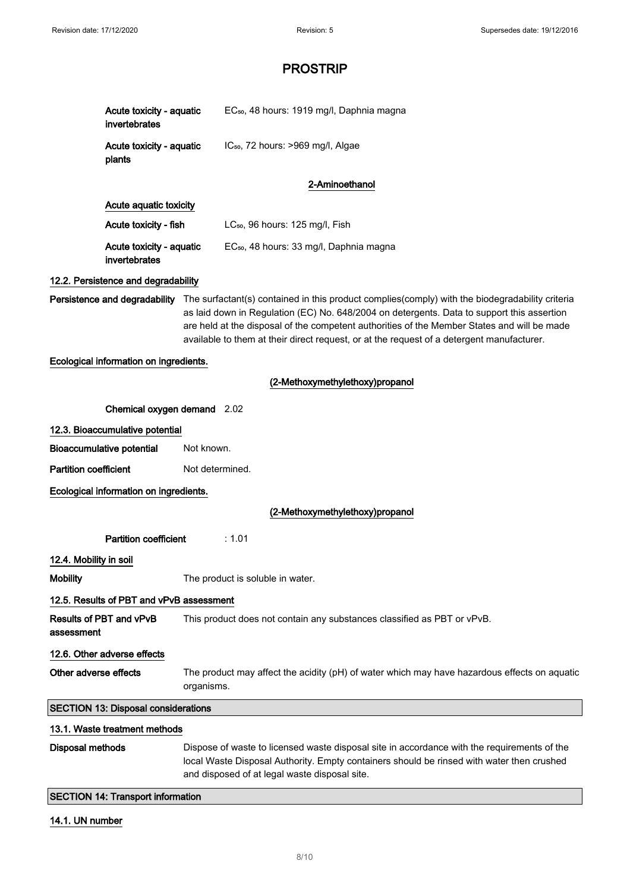| Acute toxicity - aquatic<br>invertebrates |                                                                                                                                                                                                                                                                                                                                                                                                                                | EC <sub>50</sub> , 48 hours: 1919 mg/l, Daphnia magna |
|-------------------------------------------|--------------------------------------------------------------------------------------------------------------------------------------------------------------------------------------------------------------------------------------------------------------------------------------------------------------------------------------------------------------------------------------------------------------------------------|-------------------------------------------------------|
| Acute toxicity - aquatic<br>plants        |                                                                                                                                                                                                                                                                                                                                                                                                                                | IC <sub>50</sub> , 72 hours: >969 mg/l, Algae         |
|                                           |                                                                                                                                                                                                                                                                                                                                                                                                                                | 2-Aminoethanol                                        |
| Acute aquatic toxicity                    |                                                                                                                                                                                                                                                                                                                                                                                                                                |                                                       |
| Acute toxicity - fish                     |                                                                                                                                                                                                                                                                                                                                                                                                                                | LC <sub>50</sub> , 96 hours: 125 mg/l, Fish           |
| Acute toxicity - aquatic<br>invertebrates |                                                                                                                                                                                                                                                                                                                                                                                                                                | EC <sub>50</sub> , 48 hours: 33 mg/l, Daphnia magna   |
| 12.2. Persistence and degradability       |                                                                                                                                                                                                                                                                                                                                                                                                                                |                                                       |
|                                           | <b>Persistence and degradability</b> The surfactant(s) contained in this product complies(comply) with the biodegradability criteria<br>as laid down in Regulation (EC) No. 648/2004 on detergents. Data to support this assertion<br>are held at the disposal of the competent authorities of the Member States and will be made<br>available to them at their direct request, or at the request of a detergent manufacturer. |                                                       |
| Ecological information on ingredients.    |                                                                                                                                                                                                                                                                                                                                                                                                                                |                                                       |
|                                           |                                                                                                                                                                                                                                                                                                                                                                                                                                | (2-Methoxymethylethoxy)propanol                       |
|                                           | Chemical oxygen demand 2.02                                                                                                                                                                                                                                                                                                                                                                                                    |                                                       |
| 12.3. Bioaccumulative potential           |                                                                                                                                                                                                                                                                                                                                                                                                                                |                                                       |
| <b>Bioaccumulative potential</b>          | Not known.                                                                                                                                                                                                                                                                                                                                                                                                                     |                                                       |
| <b>Partition coefficient</b>              |                                                                                                                                                                                                                                                                                                                                                                                                                                | Not determined.                                       |
| Ecological information on ingredients.    |                                                                                                                                                                                                                                                                                                                                                                                                                                |                                                       |

### (2-Methoxymethylethoxy)propanol

Partition coefficient : 1.01

### 12.4. Mobility in soil

Mobility **Mobility** The product is soluble in water.

### 12.5. Results of PBT and vPvB assessment

Results of PBT and vPvB assessment This product does not contain any substances classified as PBT or vPvB. 12.6. Other adverse effects

Other adverse effects The product may affect the acidity (pH) of water which may have hazardous effects on aquatic organisms.

### SECTION 13: Disposal considerations

### 13.1. Waste treatment methods

Disposal methods Dispose of waste to licensed waste disposal site in accordance with the requirements of the local Waste Disposal Authority. Empty containers should be rinsed with water then crushed and disposed of at legal waste disposal site.

SECTION 14: Transport information

### 14.1. UN number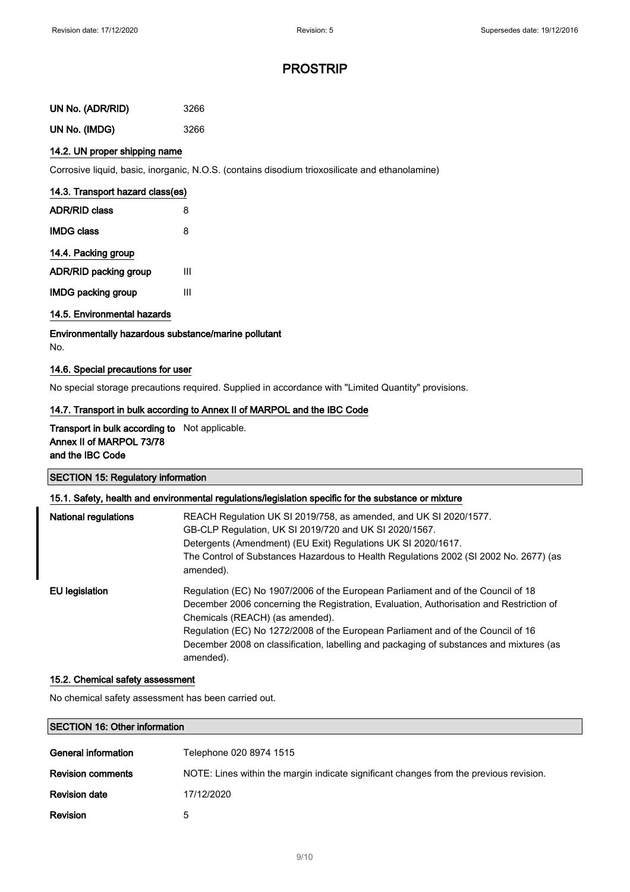| UN No. (ADR/RID) | 3266 |
|------------------|------|
| UN No. (IMDG)    | 3266 |

### 14.2. UN proper shipping name

Corrosive liquid, basic, inorganic, N.O.S. (contains disodium trioxosilicate and ethanolamine)

| 14.3. Transport hazard class(es) |   |  |
|----------------------------------|---|--|
| <b>ADR/RID class</b>             | 8 |  |
| <b>IMDG class</b>                | 8 |  |
| 14.4. Packing group              |   |  |
| <b>ADR/RID packing group</b>     | ш |  |
|                                  |   |  |

IMDG packing group III

### 14.5. Environmental hazards

Environmentally hazardous substance/marine pollutant

No.

### 14.6. Special precautions for user

No special storage precautions required. Supplied in accordance with "Limited Quantity" provisions.

### 14.7. Transport in bulk according to Annex II of MARPOL and the IBC Code

### Transport in bulk according to Not applicable. Annex II of MARPOL 73/78 and the IBC Code

### SECTION 15: Regulatory information

### 15.1. Safety, health and environmental regulations/legislation specific for the substance or mixture

| <b>National regulations</b> | REACH Regulation UK SI 2019/758, as amended, and UK SI 2020/1577.<br>GB-CLP Regulation, UK SI 2019/720 and UK SI 2020/1567.<br>Detergents (Amendment) (EU Exit) Regulations UK SI 2020/1617.<br>The Control of Substances Hazardous to Health Regulations 2002 (SI 2002 No. 2677) (as<br>amended).                                                                                                         |
|-----------------------------|------------------------------------------------------------------------------------------------------------------------------------------------------------------------------------------------------------------------------------------------------------------------------------------------------------------------------------------------------------------------------------------------------------|
| EU legislation              | Regulation (EC) No 1907/2006 of the European Parliament and of the Council of 18<br>December 2006 concerning the Registration, Evaluation, Authorisation and Restriction of<br>Chemicals (REACH) (as amended).<br>Regulation (EC) No 1272/2008 of the European Parliament and of the Council of 16<br>December 2008 on classification, labelling and packaging of substances and mixtures (as<br>amended). |

#### 15.2. Chemical safety assessment

No chemical safety assessment has been carried out.

### SECTION 16: Other information

| General information      | Telephone 020 8974 1515                                                                |
|--------------------------|----------------------------------------------------------------------------------------|
| <b>Revision comments</b> | NOTE: Lines within the margin indicate significant changes from the previous revision. |
| <b>Revision date</b>     | 17/12/2020                                                                             |
| <b>Revision</b>          | 5                                                                                      |